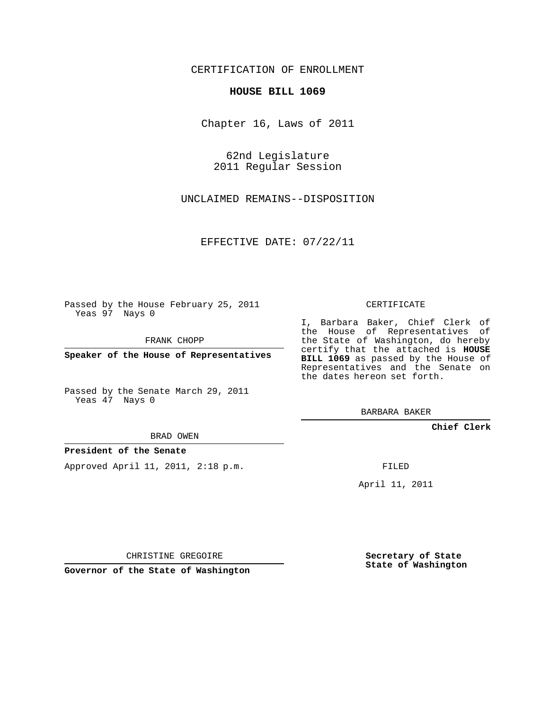#### CERTIFICATION OF ENROLLMENT

#### **HOUSE BILL 1069**

Chapter 16, Laws of 2011

62nd Legislature 2011 Regular Session

UNCLAIMED REMAINS--DISPOSITION

EFFECTIVE DATE: 07/22/11

Passed by the House February 25, 2011 Yeas 97 Nays 0

FRANK CHOPP

**Speaker of the House of Representatives**

Passed by the Senate March 29, 2011 Yeas 47 Nays 0

I, Barbara Baker, Chief Clerk of the House of Representatives of the State of Washington, do hereby certify that the attached is **HOUSE BILL 1069** as passed by the House of Representatives and the Senate on the dates hereon set forth.

CERTIFICATE

BARBARA BAKER

**Chief Clerk**

BRAD OWEN

### **President of the Senate**

Approved April 11, 2011, 2:18 p.m.

FILED

April 11, 2011

CHRISTINE GREGOIRE

**Governor of the State of Washington**

**Secretary of State State of Washington**